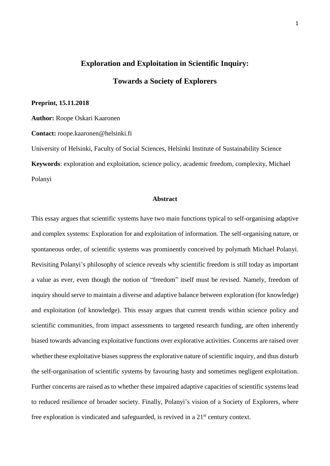# **Exploration and Exploitation in Scientific Inquiry: Towards a Society of Explorers**

### **Preprint, 15.11.2018**

**Author:** Roope Oskari Kaaronen

**Contact:** roope.kaaronen@helsinki.fi

University of Helsinki, Faculty of Social Sciences, Helsinki Institute of Sustainability Science **Keywords**: exploration and exploitation, science policy, academic freedom, complexity, Michael Polanyi

# **Abstract**

This essay argues that scientific systems have two main functions typical to self-organising adaptive and complex systems: Exploration for and exploitation of information. The self-organising nature, or spontaneous order, of scientific systems was prominently conceived by polymath Michael Polanyi. Revisiting Polanyi's philosophy of science reveals why scientific freedom is still today as important a value as ever, even though the notion of "freedom" itself must be revised. Namely, freedom of inquiry should serve to maintain a diverse and adaptive balance between exploration (for knowledge) and exploitation (of knowledge). This essay argues that current trends within science policy and scientific communities, from impact assessments to targeted research funding, are often inherently biased towards advancing exploitative functions over explorative activities. Concerns are raised over whether these exploitative biases suppress the explorative nature of scientific inquiry, and thus disturb the self-organisation of scientific systems by favouring hasty and sometimes negligent exploitation. Further concerns are raised as to whether these impaired adaptive capacities of scientific systems lead to reduced resilience of broader society. Finally, Polanyi's vision of a Society of Explorers, where free exploration is vindicated and safeguarded, is revived in a  $21<sup>st</sup>$  century context.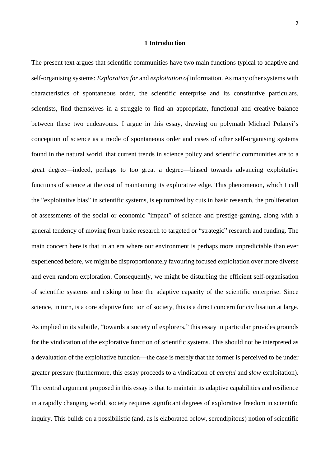# **1 Introduction**

The present text argues that scientific communities have two main functions typical to adaptive and self-organising systems: *Exploration for* and *exploitation of* information. As many other systems with characteristics of spontaneous order, the scientific enterprise and its constitutive particulars, scientists, find themselves in a struggle to find an appropriate, functional and creative balance between these two endeavours. I argue in this essay, drawing on polymath Michael Polanyi's conception of science as a mode of spontaneous order and cases of other self-organising systems found in the natural world, that current trends in science policy and scientific communities are to a great degree—indeed, perhaps to too great a degree—biased towards advancing exploitative functions of science at the cost of maintaining its explorative edge. This phenomenon, which I call the "exploitative bias" in scientific systems, is epitomized by cuts in basic research, the proliferation of assessments of the social or economic "impact" of science and prestige-gaming, along with a general tendency of moving from basic research to targeted or "strategic" research and funding. The main concern here is that in an era where our environment is perhaps more unpredictable than ever experienced before, we might be disproportionately favouring focused exploitation over more diverse and even random exploration. Consequently, we might be disturbing the efficient self-organisation of scientific systems and risking to lose the adaptive capacity of the scientific enterprise. Since science, in turn, is a core adaptive function of society, this is a direct concern for civilisation at large. As implied in its subtitle, "towards a society of explorers," this essay in particular provides grounds for the vindication of the explorative function of scientific systems. This should not be interpreted as

a devaluation of the exploitative function—the case is merely that the former is perceived to be under greater pressure (furthermore, this essay proceeds to a vindication of *careful* and *slow* exploitation). The central argument proposed in this essay is that to maintain its adaptive capabilities and resilience in a rapidly changing world, society requires significant degrees of explorative freedom in scientific inquiry. This builds on a possibilistic (and, as is elaborated below, serendipitous) notion of scientific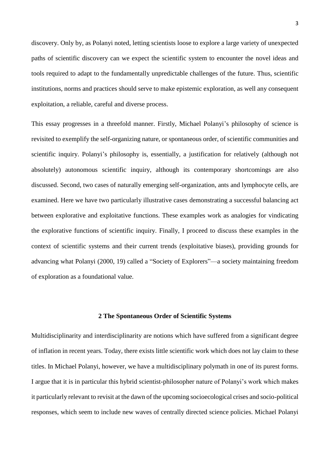discovery. Only by, as Polanyi noted, letting scientists loose to explore a large variety of unexpected paths of scientific discovery can we expect the scientific system to encounter the novel ideas and tools required to adapt to the fundamentally unpredictable challenges of the future. Thus, scientific institutions, norms and practices should serve to make epistemic exploration, as well any consequent exploitation, a reliable, careful and diverse process.

This essay progresses in a threefold manner. Firstly, Michael Polanyi's philosophy of science is revisited to exemplify the self-organizing nature, or spontaneous order, of scientific communities and scientific inquiry. Polanyi's philosophy is, essentially, a justification for relatively (although not absolutely) autonomous scientific inquiry, although its contemporary shortcomings are also discussed. Second, two cases of naturally emerging self-organization, ants and lymphocyte cells, are examined. Here we have two particularly illustrative cases demonstrating a successful balancing act between explorative and exploitative functions. These examples work as analogies for vindicating the explorative functions of scientific inquiry. Finally, I proceed to discuss these examples in the context of scientific systems and their current trends (exploitative biases), providing grounds for advancing what Polanyi (2000, 19) called a "Society of Explorers"—a society maintaining freedom of exploration as a foundational value.

## **2 The Spontaneous Order of Scientific Systems**

Multidisciplinarity and interdisciplinarity are notions which have suffered from a significant degree of inflation in recent years. Today, there exists little scientific work which does not lay claim to these titles. In Michael Polanyi, however, we have a multidisciplinary polymath in one of its purest forms. I argue that it is in particular this hybrid scientist-philosopher nature of Polanyi's work which makes it particularly relevant to revisit at the dawn of the upcoming socioecological crises and socio-political responses, which seem to include new waves of centrally directed science policies. Michael Polanyi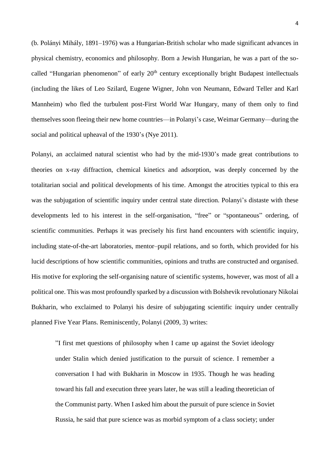(b. Polányi Mihály, 1891–1976) was a Hungarian-British scholar who made significant advances in physical chemistry, economics and philosophy. Born a Jewish Hungarian, he was a part of the socalled "Hungarian phenomenon" of early 20<sup>th</sup> century exceptionally bright Budapest intellectuals (including the likes of Leo Szilard, Eugene Wigner, John von Neumann, Edward Teller and Karl Mannheim) who fled the turbulent post-First World War Hungary, many of them only to find themselves soon fleeing their new home countries—in Polanyi's case, Weimar Germany—during the social and political upheaval of the 1930's (Nye 2011).

Polanyi, an acclaimed natural scientist who had by the mid-1930's made great contributions to theories on x-ray diffraction, chemical kinetics and adsorption, was deeply concerned by the totalitarian social and political developments of his time. Amongst the atrocities typical to this era was the subjugation of scientific inquiry under central state direction. Polanyi's distaste with these developments led to his interest in the self-organisation, "free" or "spontaneous" ordering, of scientific communities. Perhaps it was precisely his first hand encounters with scientific inquiry, including state-of-the-art laboratories, mentor–pupil relations, and so forth, which provided for his lucid descriptions of how scientific communities, opinions and truths are constructed and organised. His motive for exploring the self-organising nature of scientific systems, however, was most of all a political one. This was most profoundly sparked by a discussion with Bolshevik revolutionary Nikolai Bukharin, who exclaimed to Polanyi his desire of subjugating scientific inquiry under centrally planned Five Year Plans. Reminiscently, Polanyi (2009, 3) writes:

"I first met questions of philosophy when I came up against the Soviet ideology under Stalin which denied justification to the pursuit of science. I remember a conversation I had with Bukharin in Moscow in 1935. Though he was heading toward his fall and execution three years later, he was still a leading theoretician of the Communist party. When I asked him about the pursuit of pure science in Soviet Russia, he said that pure science was as morbid symptom of a class society; under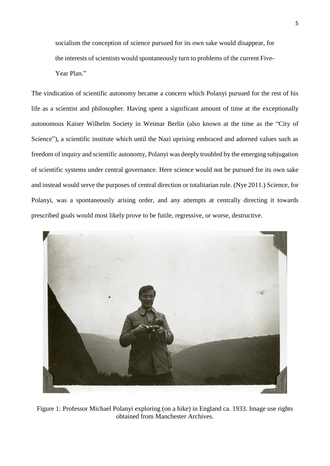socialism the conception of science pursued for its own sake would disappear, for the interests of scientists would spontaneously turn to problems of the current Five-Year Plan<sup>"</sup>

The vindication of scientific autonomy became a concern which Polanyi pursued for the rest of his life as a scientist and philosopher. Having spent a significant amount of time at the exceptionally autonomous Kaiser Wilhelm Society in Weimar Berlin (also known at the time as the "City of Science"), a scientific institute which until the Nazi uprising embraced and adorned values such as freedom of inquiry and scientific autonomy, Polanyi was deeply troubled by the emerging subjugation of scientific systems under central governance. Here science would not be pursued for its own sake and instead would serve the purposes of central direction or totalitarian rule. (Nye 2011.) Science, for Polanyi, was a spontaneously arising order, and any attempts at centrally directing it towards prescribed goals would most likely prove to be futile, regressive, or worse, destructive.



Figure 1: Professor Michael Polanyi exploring (on a hike) in England ca. 1933. Image use rights obtained from Manchester Archives.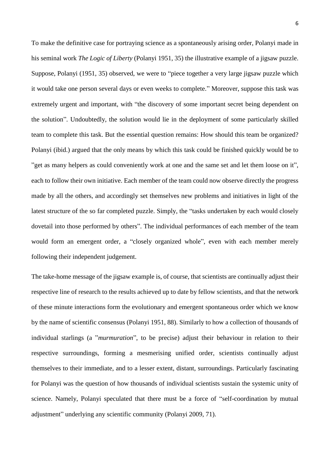To make the definitive case for portraying science as a spontaneously arising order, Polanyi made in his seminal work *The Logic of Liberty* (Polanyi 1951, 35) the illustrative example of a jigsaw puzzle. Suppose, Polanyi (1951, 35) observed, we were to "piece together a very large jigsaw puzzle which it would take one person several days or even weeks to complete." Moreover, suppose this task was extremely urgent and important, with "the discovery of some important secret being dependent on the solution". Undoubtedly, the solution would lie in the deployment of some particularly skilled team to complete this task. But the essential question remains: How should this team be organized? Polanyi (ibid.) argued that the only means by which this task could be finished quickly would be to "get as many helpers as could conveniently work at one and the same set and let them loose on it", each to follow their own initiative. Each member of the team could now observe directly the progress made by all the others, and accordingly set themselves new problems and initiatives in light of the latest structure of the so far completed puzzle. Simply, the "tasks undertaken by each would closely dovetail into those performed by others". The individual performances of each member of the team would form an emergent order, a "closely organized whole", even with each member merely following their independent judgement.

The take-home message of the jigsaw example is, of course, that scientists are continually adjust their respective line of research to the results achieved up to date by fellow scientists, and that the network of these minute interactions form the evolutionary and emergent spontaneous order which we know by the name of scientific consensus (Polanyi 1951, 88). Similarly to how a collection of thousands of individual starlings (a "*murmuration*", to be precise) adjust their behaviour in relation to their respective surroundings, forming a mesmerising unified order, scientists continually adjust themselves to their immediate, and to a lesser extent, distant, surroundings. Particularly fascinating for Polanyi was the question of how thousands of individual scientists sustain the systemic unity of science. Namely, Polanyi speculated that there must be a force of "self-coordination by mutual adjustment" underlying any scientific community (Polanyi 2009, 71).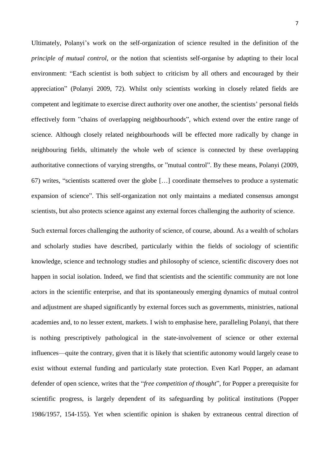Ultimately, Polanyi's work on the self-organization of science resulted in the definition of the *principle of mutual control*, or the notion that scientists self-organise by adapting to their local environment: "Each scientist is both subject to criticism by all others and encouraged by their appreciation" (Polanyi 2009, 72). Whilst only scientists working in closely related fields are competent and legitimate to exercise direct authority over one another, the scientists' personal fields effectively form "chains of overlapping neighbourhoods", which extend over the entire range of science. Although closely related neighbourhoods will be effected more radically by change in neighbouring fields, ultimately the whole web of science is connected by these overlapping authoritative connections of varying strengths, or "mutual control". By these means, Polanyi (2009, 67) writes, "scientists scattered over the globe […] coordinate themselves to produce a systematic expansion of science". This self-organization not only maintains a mediated consensus amongst scientists, but also protects science against any external forces challenging the authority of science.

Such external forces challenging the authority of science, of course, abound. As a wealth of scholars and scholarly studies have described, particularly within the fields of sociology of scientific knowledge, science and technology studies and philosophy of science, scientific discovery does not happen in social isolation. Indeed, we find that scientists and the scientific community are not lone actors in the scientific enterprise, and that its spontaneously emerging dynamics of mutual control and adjustment are shaped significantly by external forces such as governments, ministries, national academies and, to no lesser extent, markets. I wish to emphasise here, paralleling Polanyi, that there is nothing prescriptively pathological in the state-involvement of science or other external influences—quite the contrary, given that it is likely that scientific autonomy would largely cease to exist without external funding and particularly state protection. Even Karl Popper, an adamant defender of open science, writes that the "*free competition of thought*", for Popper a prerequisite for scientific progress, is largely dependent of its safeguarding by political institutions (Popper 1986/1957, 154-155). Yet when scientific opinion is shaken by extraneous central direction of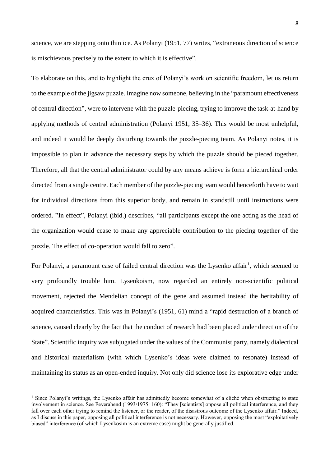science, we are stepping onto thin ice. As Polanyi (1951, 77) writes, "extraneous direction of science is mischievous precisely to the extent to which it is effective".

To elaborate on this, and to highlight the crux of Polanyi's work on scientific freedom, let us return to the example of the jigsaw puzzle. Imagine now someone, believing in the "paramount effectiveness of central direction", were to intervene with the puzzle-piecing, trying to improve the task-at-hand by applying methods of central administration (Polanyi 1951, 35–36). This would be most unhelpful, and indeed it would be deeply disturbing towards the puzzle-piecing team. As Polanyi notes, it is impossible to plan in advance the necessary steps by which the puzzle should be pieced together. Therefore, all that the central administrator could by any means achieve is form a hierarchical order directed from a single centre. Each member of the puzzle-piecing team would henceforth have to wait for individual directions from this superior body, and remain in standstill until instructions were ordered. "In effect", Polanyi (ibid.) describes, "all participants except the one acting as the head of the organization would cease to make any appreciable contribution to the piecing together of the puzzle. The effect of co-operation would fall to zero".

For Polanyi, a paramount case of failed central direction was the Lysenko affair<sup>1</sup>, which seemed to very profoundly trouble him. Lysenkoism, now regarded an entirely non-scientific political movement, rejected the Mendelian concept of the gene and assumed instead the heritability of acquired characteristics. This was in Polanyi's (1951, 61) mind a "rapid destruction of a branch of science, caused clearly by the fact that the conduct of research had been placed under direction of the State". Scientific inquiry was subjugated under the values of the Communist party, namely dialectical and historical materialism (with which Lysenko's ideas were claimed to resonate) instead of maintaining its status as an open-ended inquiry. Not only did science lose its explorative edge under

**.** 

<sup>&</sup>lt;sup>1</sup> Since Polanyi's writings, the Lysenko affair has admittedly become somewhat of a cliché when obstructing to state involvement in science. See Feyerabend (1993/1975: 160): "They [scientists] oppose all political interference, and they fall over each other trying to remind the listener, or the reader, of the disastrous outcome of the Lysenko affair." Indeed, as I discuss in this paper, opposing all political interference is not necessary. However, opposing the most "exploitatively biased" interference (of which Lysenkosim is an extreme case) might be generally justified.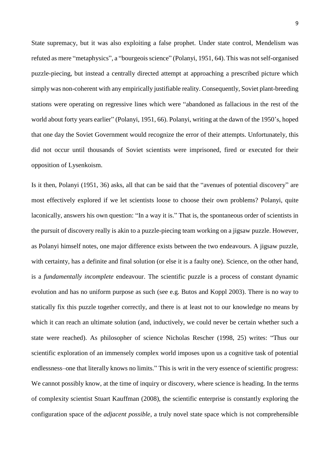State supremacy, but it was also exploiting a false prophet. Under state control, Mendelism was refuted as mere "metaphysics", a "bourgeois science" (Polanyi, 1951, 64). This was not self-organised puzzle-piecing, but instead a centrally directed attempt at approaching a prescribed picture which simply was non-coherent with any empirically justifiable reality. Consequently, Soviet plant-breeding stations were operating on regressive lines which were "abandoned as fallacious in the rest of the world about forty years earlier" (Polanyi, 1951, 66). Polanyi, writing at the dawn of the 1950's, hoped that one day the Soviet Government would recognize the error of their attempts. Unfortunately, this did not occur until thousands of Soviet scientists were imprisoned, fired or executed for their opposition of Lysenkoism.

Is it then, Polanyi (1951, 36) asks, all that can be said that the "avenues of potential discovery" are most effectively explored if we let scientists loose to choose their own problems? Polanyi, quite laconically, answers his own question: "In a way it is." That is, the spontaneous order of scientists in the pursuit of discovery really is akin to a puzzle-piecing team working on a jigsaw puzzle. However, as Polanyi himself notes, one major difference exists between the two endeavours. A jigsaw puzzle, with certainty, has a definite and final solution (or else it is a faulty one). Science, on the other hand, is a *fundamentally incomplete* endeavour. The scientific puzzle is a process of constant dynamic evolution and has no uniform purpose as such (see e.g. Butos and Koppl 2003). There is no way to statically fix this puzzle together correctly, and there is at least not to our knowledge no means by which it can reach an ultimate solution (and, inductively, we could never be certain whether such a state were reached). As philosopher of science Nicholas Rescher (1998, 25) writes: "Thus our scientific exploration of an immensely complex world imposes upon us a cognitive task of potential endlessness–one that literally knows no limits." This is writ in the very essence of scientific progress: We cannot possibly know, at the time of inquiry or discovery, where science is heading. In the terms of complexity scientist Stuart Kauffman (2008), the scientific enterprise is constantly exploring the configuration space of the *adjacent possible*, a truly novel state space which is not comprehensible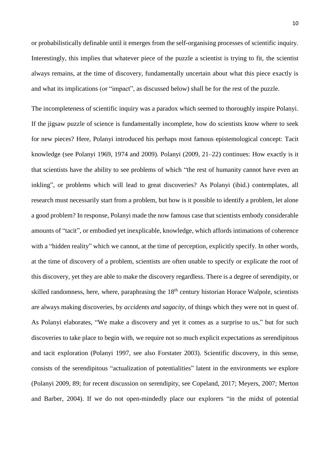or probabilistically definable until it emerges from the self-organising processes of scientific inquiry. Interestingly, this implies that whatever piece of the puzzle a scientist is trying to fit, the scientist always remains, at the time of discovery, fundamentally uncertain about what this piece exactly is and what its implications (or "impact", as discussed below) shall be for the rest of the puzzle.

The incompleteness of scientific inquiry was a paradox which seemed to thoroughly inspire Polanyi. If the jigsaw puzzle of science is fundamentally incomplete, how do scientists know where to seek for new pieces? Here, Polanyi introduced his perhaps most famous epistemological concept: Tacit knowledge (see Polanyi 1969, 1974 and 2009). Polanyi (2009, 21–22) continues: How exactly is it that scientists have the ability to see problems of which "the rest of humanity cannot have even an inkling", or problems which will lead to great discoveries? As Polanyi (ibid.) contemplates, all research must necessarily start from a problem, but how is it possible to identify a problem, let alone a good problem? In response, Polanyi made the now famous case that scientists embody considerable amounts of "tacit", or embodied yet inexplicable, knowledge, which affords intimations of coherence with a "hidden reality" which we cannot, at the time of perception, explicitly specify. In other words, at the time of discovery of a problem, scientists are often unable to specify or explicate the root of this discovery, yet they are able to make the discovery regardless. There is a degree of serendipity, or skilled randomness, here, where, paraphrasing the 18<sup>th</sup> century historian Horace Walpole, scientists are always making discoveries, by *accidents and sagacity*, of things which they were not in quest of. As Polanyi elaborates, "We make a discovery and yet it comes as a surprise to us," but for such discoveries to take place to begin with, we require not so much explicit expectations as serendipitous and tacit exploration (Polanyi 1997, see also Forstater 2003). Scientific discovery, in this sense, consists of the serendipitous "actualization of potentialities" latent in the environments we explore (Polanyi 2009, 89; for recent discussion on serendipity, see Copeland, 2017; Meyers, 2007; Merton and Barber, 2004). If we do not open-mindedly place our explorers "in the midst of potential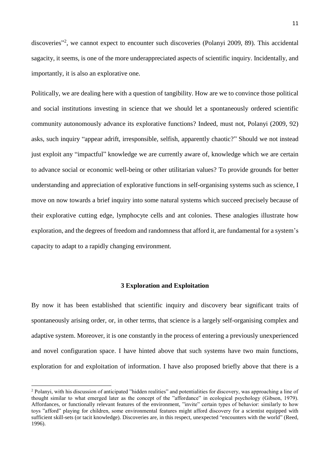discoveries"<sup>2</sup>, we cannot expect to encounter such discoveries (Polanyi 2009, 89). This accidental sagacity, it seems, is one of the more underappreciated aspects of scientific inquiry. Incidentally, and importantly, it is also an explorative one.

Politically, we are dealing here with a question of tangibility. How are we to convince those political and social institutions investing in science that we should let a spontaneously ordered scientific community autonomously advance its explorative functions? Indeed, must not, Polanyi (2009, 92) asks, such inquiry "appear adrift, irresponsible, selfish, apparently chaotic?" Should we not instead just exploit any "impactful" knowledge we are currently aware of, knowledge which we are certain to advance social or economic well-being or other utilitarian values? To provide grounds for better understanding and appreciation of explorative functions in self-organising systems such as science, I move on now towards a brief inquiry into some natural systems which succeed precisely because of their explorative cutting edge, lymphocyte cells and ant colonies. These analogies illustrate how exploration, and the degrees of freedom and randomness that afford it, are fundamental for a system's capacity to adapt to a rapidly changing environment.

# **3 Exploration and Exploitation**

By now it has been established that scientific inquiry and discovery bear significant traits of spontaneously arising order, or, in other terms, that science is a largely self-organising complex and adaptive system. Moreover, it is one constantly in the process of entering a previously unexperienced and novel configuration space. I have hinted above that such systems have two main functions, exploration for and exploitation of information. I have also proposed briefly above that there is a

 $\overline{a}$ 

<sup>2</sup> Polanyi, with his discussion of anticipated "hidden realities" and potentialities for discovery, was approaching a line of thought similar to what emerged later as the concept of the "affordance" in ecological psychology (Gibson, 1979). Affordances, or functionally relevant features of the environment, "invite" certain types of behavior: similarly to how toys "afford" playing for children, some environmental features might afford discovery for a scientist equipped with sufficient skill-sets (or tacit knowledge). Discoveries are, in this respect, unexpected "encounters with the world" (Reed, 1996).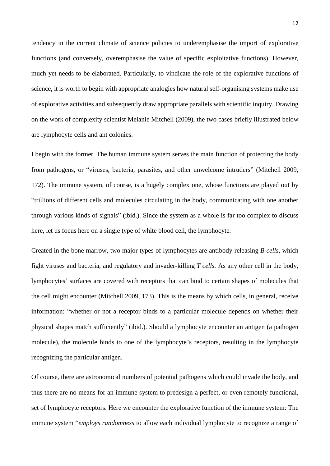tendency in the current climate of science policies to underemphasise the import of explorative functions (and conversely, overemphasise the value of specific exploitative functions). However, much yet needs to be elaborated. Particularly, to vindicate the role of the explorative functions of science, it is worth to begin with appropriate analogies how natural self-organising systems make use of explorative activities and subsequently draw appropriate parallels with scientific inquiry. Drawing on the work of complexity scientist Melanie Mitchell (2009), the two cases briefly illustrated below are lymphocyte cells and ant colonies.

I begin with the former. The human immune system serves the main function of protecting the body from pathogens, or "viruses, bacteria, parasites, and other unwelcome intruders" (Mitchell 2009, 172). The immune system, of course, is a hugely complex one, whose functions are played out by "trillions of different cells and molecules circulating in the body, communicating with one another through various kinds of signals" (ibid.). Since the system as a whole is far too complex to discuss here, let us focus here on a single type of white blood cell, the lymphocyte*.* 

Created in the bone marrow, two major types of lymphocytes are antibody-releasing *B cells*, which fight viruses and bacteria, and regulatory and invader-killing *T cells.* As any other cell in the body, lymphocytes' surfaces are covered with receptors that can bind to certain shapes of molecules that the cell might encounter (Mitchell 2009, 173). This is the means by which cells, in general, receive information: "whether or not a receptor binds to a particular molecule depends on whether their physical shapes match sufficiently" (ibid.). Should a lymphocyte encounter an antigen (a pathogen molecule), the molecule binds to one of the lymphocyte's receptors, resulting in the lymphocyte recognizing the particular antigen.

Of course, there are astronomical numbers of potential pathogens which could invade the body, and thus there are no means for an immune system to predesign a perfect, or even remotely functional, set of lymphocyte receptors. Here we encounter the explorative function of the immune system: The immune system "*employs randomness* to allow each individual lymphocyte to recognize a range of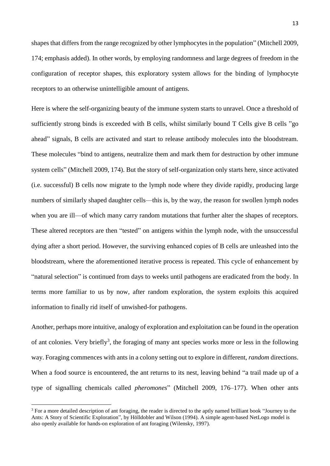shapes that differs from the range recognized by other lymphocytes in the population" (Mitchell 2009, 174; emphasis added). In other words, by employing randomness and large degrees of freedom in the configuration of receptor shapes, this exploratory system allows for the binding of lymphocyte receptors to an otherwise unintelligible amount of antigens.

Here is where the self-organizing beauty of the immune system starts to unravel. Once a threshold of sufficiently strong binds is exceeded with B cells, whilst similarly bound T Cells give B cells "go ahead" signals, B cells are activated and start to release antibody molecules into the bloodstream. These molecules "bind to antigens, neutralize them and mark them for destruction by other immune system cells" (Mitchell 2009, 174). But the story of self-organization only starts here, since activated (i.e. successful) B cells now migrate to the lymph node where they divide rapidly, producing large numbers of similarly shaped daughter cells—this is, by the way, the reason for swollen lymph nodes when you are ill—of which many carry random mutations that further alter the shapes of receptors. These altered receptors are then "tested" on antigens within the lymph node, with the unsuccessful dying after a short period. However, the surviving enhanced copies of B cells are unleashed into the bloodstream, where the aforementioned iterative process is repeated. This cycle of enhancement by "natural selection" is continued from days to weeks until pathogens are eradicated from the body. In terms more familiar to us by now, after random exploration, the system exploits this acquired information to finally rid itself of unwished-for pathogens.

Another, perhaps more intuitive, analogy of exploration and exploitation can be found in the operation of ant colonies. Very briefly<sup>3</sup>, the foraging of many ant species works more or less in the following way. Foraging commences with ants in a colony setting out to explore in different, *random* directions. When a food source is encountered, the ant returns to its nest, leaving behind "a trail made up of a type of signalling chemicals called *pheromones*" (Mitchell 2009, 176–177). When other ants

1

<sup>&</sup>lt;sup>3</sup> For a more detailed description of ant foraging, the reader is directed to the aptly named brilliant book "Journey to the Ants: A Story of Scientific Exploration", by Hölldobler and Wilson (1994). A simple agent-based NetLogo model is also openly available for hands-on exploration of ant foraging (Wilensky, 1997).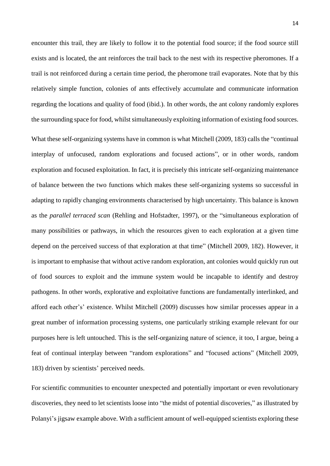encounter this trail, they are likely to follow it to the potential food source; if the food source still exists and is located, the ant reinforces the trail back to the nest with its respective pheromones. If a trail is not reinforced during a certain time period, the pheromone trail evaporates. Note that by this relatively simple function, colonies of ants effectively accumulate and communicate information regarding the locations and quality of food (ibid.). In other words, the ant colony randomly explores the surrounding space for food, whilst simultaneously exploiting information of existing food sources.

What these self-organizing systems have in common is what Mitchell (2009, 183) calls the "continual interplay of unfocused, random explorations and focused actions", or in other words, random exploration and focused exploitation. In fact, it is precisely this intricate self-organizing maintenance of balance between the two functions which makes these self-organizing systems so successful in adapting to rapidly changing environments characterised by high uncertainty. This balance is known as the *parallel terraced scan* (Rehling and Hofstadter, 1997), or the "simultaneous exploration of many possibilities or pathways, in which the resources given to each exploration at a given time depend on the perceived success of that exploration at that time" (Mitchell 2009, 182). However, it is important to emphasise that without active random exploration, ant colonies would quickly run out of food sources to exploit and the immune system would be incapable to identify and destroy pathogens. In other words, explorative and exploitative functions are fundamentally interlinked, and afford each other's' existence. Whilst Mitchell (2009) discusses how similar processes appear in a great number of information processing systems, one particularly striking example relevant for our purposes here is left untouched. This is the self-organizing nature of science, it too, I argue, being a feat of continual interplay between "random explorations" and "focused actions" (Mitchell 2009, 183) driven by scientists' perceived needs.

For scientific communities to encounter unexpected and potentially important or even revolutionary discoveries, they need to let scientists loose into "the midst of potential discoveries," as illustrated by Polanyi's jigsaw example above. With a sufficient amount of well-equipped scientists exploring these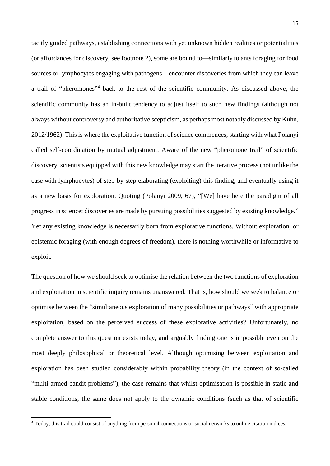tacitly guided pathways, establishing connections with yet unknown hidden realities or potentialities (or affordances for discovery, see footnote 2), some are bound to—similarly to ants foraging for food sources or lymphocytes engaging with pathogens—encounter discoveries from which they can leave a trail of "pheromones"<sup>4</sup> back to the rest of the scientific community. As discussed above, the scientific community has an in-built tendency to adjust itself to such new findings (although not always without controversy and authoritative scepticism, as perhaps most notably discussed by Kuhn, 2012/1962). This is where the exploitative function of science commences, starting with what Polanyi called self-coordination by mutual adjustment. Aware of the new "pheromone trail" of scientific discovery, scientists equipped with this new knowledge may start the iterative process (not unlike the case with lymphocytes) of step-by-step elaborating (exploiting) this finding, and eventually using it as a new basis for exploration. Quoting (Polanyi 2009, 67), "[We] have here the paradigm of all progress in science: discoveries are made by pursuing possibilities suggested by existing knowledge." Yet any existing knowledge is necessarily born from explorative functions. Without exploration, or epistemic foraging (with enough degrees of freedom), there is nothing worthwhile or informative to exploit.

The question of how we should seek to optimise the relation between the two functions of exploration and exploitation in scientific inquiry remains unanswered. That is, how should we seek to balance or optimise between the "simultaneous exploration of many possibilities or pathways" with appropriate exploitation, based on the perceived success of these explorative activities? Unfortunately, no complete answer to this question exists today, and arguably finding one is impossible even on the most deeply philosophical or theoretical level. Although optimising between exploitation and exploration has been studied considerably within probability theory (in the context of so-called "multi-armed bandit problems"), the case remains that whilst optimisation is possible in static and stable conditions, the same does not apply to the dynamic conditions (such as that of scientific

**.** 

<sup>4</sup> Today, this trail could consist of anything from personal connections or social networks to online citation indices.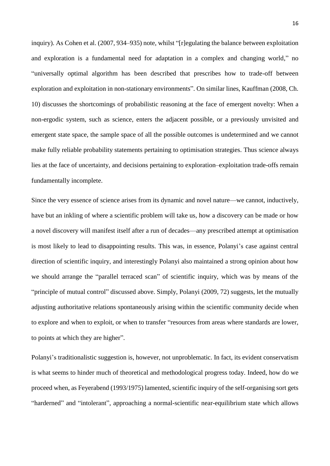inquiry). As Cohen et al. (2007, 934–935) note, whilst "[r]egulating the balance between exploitation and exploration is a fundamental need for adaptation in a complex and changing world," no "universally optimal algorithm has been described that prescribes how to trade-off between exploration and exploitation in non-stationary environments". On similar lines, Kauffman (2008, Ch. 10) discusses the shortcomings of probabilistic reasoning at the face of emergent novelty: When a non-ergodic system, such as science, enters the adjacent possible, or a previously unvisited and emergent state space, the sample space of all the possible outcomes is undetermined and we cannot make fully reliable probability statements pertaining to optimisation strategies. Thus science always lies at the face of uncertainty, and decisions pertaining to exploration–exploitation trade-offs remain fundamentally incomplete.

Since the very essence of science arises from its dynamic and novel nature—we cannot, inductively, have but an inkling of where a scientific problem will take us, how a discovery can be made or how a novel discovery will manifest itself after a run of decades—any prescribed attempt at optimisation is most likely to lead to disappointing results. This was, in essence, Polanyi's case against central direction of scientific inquiry, and interestingly Polanyi also maintained a strong opinion about how we should arrange the "parallel terraced scan" of scientific inquiry, which was by means of the "principle of mutual control" discussed above. Simply, Polanyi (2009, 72) suggests, let the mutually adjusting authoritative relations spontaneously arising within the scientific community decide when to explore and when to exploit, or when to transfer "resources from areas where standards are lower, to points at which they are higher".

Polanyi's traditionalistic suggestion is, however, not unproblematic. In fact, its evident conservatism is what seems to hinder much of theoretical and methodological progress today. Indeed, how do we proceed when, as Feyerabend (1993/1975) lamented, scientific inquiry of the self-organising sort gets "harderned" and "intolerant", approaching a normal-scientific near-equilibrium state which allows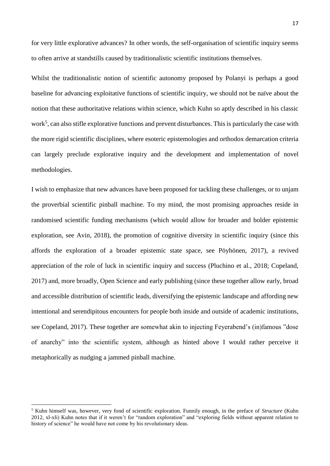for very little explorative advances? In other words, the self-organisation of scientific inquiry seems to often arrive at standstills caused by traditionalistic scientific institutions themselves.

Whilst the traditionalistic notion of scientific autonomy proposed by Polanyi is perhaps a good baseline for advancing exploitative functions of scientific inquiry, we should not be naïve about the notion that these authoritative relations within science, which Kuhn so aptly described in his classic work<sup>5</sup>, can also stifle explorative functions and prevent disturbances. This is particularly the case with the more rigid scientific disciplines, where esoteric epistemologies and orthodox demarcation criteria can largely preclude explorative inquiry and the development and implementation of novel methodologies.

I wish to emphasize that new advances have been proposed for tackling these challenges, or to unjam the proverbial scientific pinball machine. To my mind, the most promising approaches reside in randomised scientific funding mechanisms (which would allow for broader and bolder epistemic exploration, see Avin, 2018), the promotion of cognitive diversity in scientific inquiry (since this affords the exploration of a broader epistemic state space, see Pöyhönen, 2017), a revived appreciation of the role of luck in scientific inquiry and success (Pluchino et al., 2018; Copeland, 2017) and, more broadly, Open Science and early publishing (since these together allow early, broad and accessible distribution of scientific leads, diversifying the epistemic landscape and affording new intentional and serendipitous encounters for people both inside and outside of academic institutions, see Copeland, 2017). These together are somewhat akin to injecting Feyerabend's (in)famous "dose of anarchy" into the scientific system, although as hinted above I would rather perceive it metaphorically as nudging a jammed pinball machine.

1

<sup>5</sup> Kuhn himself was, however, very fond of scientific exploration. Funnily enough, in the preface of *Structure* (Kuhn 2012, xl-xli) Kuhn notes that if it weren't for "random exploration" and "exploring fields without apparent relation to history of science" he would have not come by his revolutionary ideas.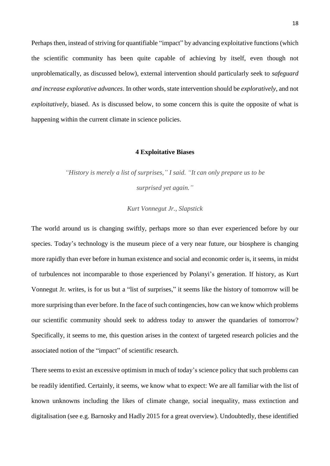Perhaps then, instead of striving for quantifiable "impact" by advancing exploitative functions (which the scientific community has been quite capable of achieving by itself, even though not unproblematically, as discussed below), external intervention should particularly seek to *safeguard and increase explorative advances*. In other words, state intervention should be *exploratively*, and not *exploitatively*, biased. As is discussed below, to some concern this is quite the opposite of what is happening within the current climate in science policies.

### **4 Exploitative Biases**

*"History is merely a list of surprises," I said. "It can only prepare us to be surprised yet again."*

*Kurt Vonnegut Jr., Slapstick* 

The world around us is changing swiftly, perhaps more so than ever experienced before by our species. Today's technology is the museum piece of a very near future, our biosphere is changing more rapidly than ever before in human existence and social and economic order is, it seems, in midst of turbulences not incomparable to those experienced by Polanyi's generation. If history, as Kurt Vonnegut Jr. writes, is for us but a "list of surprises," it seems like the history of tomorrow will be more surprising than ever before. In the face of such contingencies, how can we know which problems our scientific community should seek to address today to answer the quandaries of tomorrow? Specifically, it seems to me, this question arises in the context of targeted research policies and the associated notion of the "impact" of scientific research.

There seems to exist an excessive optimism in much of today's science policy that such problems can be readily identified. Certainly, it seems, we know what to expect: We are all familiar with the list of known unknowns including the likes of climate change, social inequality, mass extinction and digitalisation (see e.g. Barnosky and Hadly 2015 for a great overview). Undoubtedly, these identified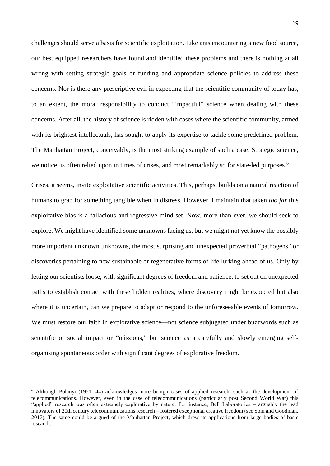challenges should serve a basis for scientific exploitation. Like ants encountering a new food source, our best equipped researchers have found and identified these problems and there is nothing at all wrong with setting strategic goals or funding and appropriate science policies to address these concerns. Nor is there any prescriptive evil in expecting that the scientific community of today has, to an extent, the moral responsibility to conduct "impactful" science when dealing with these concerns. After all, the history of science is ridden with cases where the scientific community, armed with its brightest intellectuals, has sought to apply its expertise to tackle some predefined problem. The Manhattan Project, conceivably, is the most striking example of such a case. Strategic science, we notice, is often relied upon in times of crises, and most remarkably so for state-led purposes.<sup>6</sup>

Crises, it seems, invite exploitative scientific activities. This, perhaps, builds on a natural reaction of humans to grab for something tangible when in distress. However, I maintain that taken *too far* this exploitative bias is a fallacious and regressive mind-set. Now, more than ever, we should seek to explore. We might have identified some unknowns facing us, but we might not yet know the possibly more important unknown unknowns, the most surprising and unexpected proverbial "pathogens" or discoveries pertaining to new sustainable or regenerative forms of life lurking ahead of us. Only by letting our scientists loose, with significant degrees of freedom and patience, to set out on unexpected paths to establish contact with these hidden realities, where discovery might be expected but also where it is uncertain, can we prepare to adapt or respond to the unforeseeable events of tomorrow. We must restore our faith in explorative science—not science subjugated under buzzwords such as scientific or social impact or "missions," but science as a carefully and slowly emerging selforganising spontaneous order with significant degrees of explorative freedom.

 $\overline{a}$ 

<sup>6</sup> Although Polanyi (1951: 44) acknowledges more benign cases of applied research, such as the development of telecommunications. However, even in the case of telecommunications (particularly post Second World War) this "applied" research was often extremely explorative by nature. For instance, Bell Laboratories – arguably the lead innovators of 20th century telecommunications research – fostered exceptional creative freedom (see Soni and Goodman, 2017). The same could be argued of the Manhattan Project, which drew its applications from large bodies of basic research.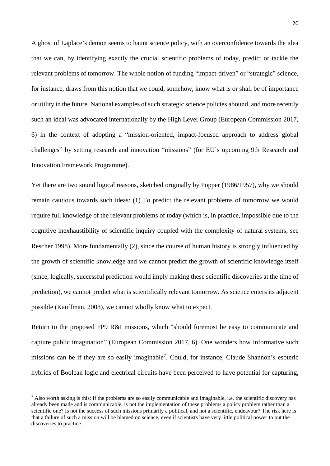A ghost of Laplace's demon seems to haunt science policy, with an overconfidence towards the idea that we can, by identifying exactly the crucial scientific problems of today, predict or tackle the relevant problems of tomorrow. The whole notion of funding "impact-driven" or "strategic" science, for instance, draws from this notion that we could, somehow, know what is or shall be of importance or utility in the future. National examples of such strategic science policies abound, and more recently such an ideal was advocated internationally by the High Level Group (European Commission 2017, 6) in the context of adopting a "mission-oriented, impact-focused approach to address global challenges" by setting research and innovation "missions" (for EU's upcoming 9th Research and Innovation Framework Programme).

Yet there are two sound logical reasons, sketched originally by Popper (1986/1957), why we should remain cautious towards such ideas: (1) To predict the relevant problems of tomorrow we would require full knowledge of the relevant problems of today (which is, in practice, impossible due to the cognitive inexhaustibility of scientific inquiry coupled with the complexity of natural systems, see Rescher 1998). More fundamentally (2), since the course of human history is strongly influenced by the growth of scientific knowledge and we cannot predict the growth of scientific knowledge itself (since, logically, successful prediction would imply making these scientific discoveries at the time of prediction), we cannot predict what is scientifically relevant tomorrow. As science enters its adjacent possible (Kauffman, 2008), we cannot wholly know what to expect.

Return to the proposed FP9 R&I missions, which "should foremost be easy to communicate and capture public imagination" (European Commission 2017, 6). One wonders how informative such missions can be if they are so easily imaginable<sup>7</sup>. Could, for instance, Claude Shannon's esoteric hybrids of Boolean logic and electrical circuits have been perceived to have potential for capturing,

**.** 

 $<sup>7</sup>$  Also worth asking is this: If the problems are so easily communicable and imaginable, i.e. the scientific discovery has</sup> already been made and is communicable, is not the implementation of these problems a policy problem rather than a scientific one? Is not the success of such missions primarily a political, and not a scientific, endeavour? The risk here is that a failure of such a mission will be blamed on science, even if scientists have very little political power to put the discoveries to practice.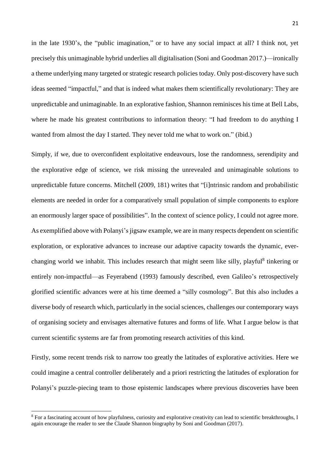in the late 1930's, the "public imagination," or to have any social impact at all? I think not, yet precisely this unimaginable hybrid underlies all digitalisation (Soni and Goodman 2017.)—ironically a theme underlying many targeted or strategic research policies today. Only post-discovery have such ideas seemed "impactful," and that is indeed what makes them scientifically revolutionary: They are unpredictable and unimaginable. In an explorative fashion, Shannon reminisces his time at Bell Labs, where he made his greatest contributions to information theory: "I had freedom to do anything I wanted from almost the day I started. They never told me what to work on." (ibid.)

Simply, if we, due to overconfident exploitative endeavours, lose the randomness, serendipity and the explorative edge of science, we risk missing the unrevealed and unimaginable solutions to unpredictable future concerns. Mitchell (2009, 181) writes that "[i]ntrinsic random and probabilistic elements are needed in order for a comparatively small population of simple components to explore an enormously larger space of possibilities". In the context of science policy, I could not agree more. As exemplified above with Polanyi's jigsaw example, we are in many respects dependent on scientific exploration, or explorative advances to increase our adaptive capacity towards the dynamic, everchanging world we inhabit. This includes research that might seem like silly, playful<sup>8</sup> tinkering or entirely non-impactful—as Feyerabend (1993) famously described, even Galileo's retrospectively glorified scientific advances were at his time deemed a "silly cosmology". But this also includes a diverse body of research which, particularly in the social sciences, challenges our contemporary ways of organising society and envisages alternative futures and forms of life. What I argue below is that current scientific systems are far from promoting research activities of this kind.

Firstly, some recent trends risk to narrow too greatly the latitudes of explorative activities. Here we could imagine a central controller deliberately and a priori restricting the latitudes of exploration for Polanyi's puzzle-piecing team to those epistemic landscapes where previous discoveries have been

**.** 

<sup>8</sup> For a fascinating account of how playfulness, curiosity and explorative creativity can lead to scientific breakthroughs, I again encourage the reader to see the Claude Shannon biography by Soni and Goodman (2017).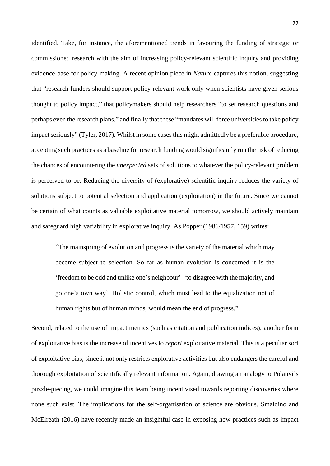identified. Take, for instance, the aforementioned trends in favouring the funding of strategic or commissioned research with the aim of increasing policy-relevant scientific inquiry and providing evidence-base for policy-making. A recent opinion piece in *Nature* captures this notion, suggesting that "research funders should support policy-relevant work only when scientists have given serious thought to policy impact," that policymakers should help researchers "to set research questions and perhaps even the research plans," and finally that these "mandates will force universities to take policy impact seriously" (Tyler, 2017). Whilst in some cases this might admittedly be a preferable procedure, accepting such practices as a baseline for research funding would significantly run the risk of reducing the chances of encountering the *unexpected* sets of solutions to whatever the policy-relevant problem is perceived to be. Reducing the diversity of (explorative) scientific inquiry reduces the variety of solutions subject to potential selection and application (exploitation) in the future. Since we cannot be certain of what counts as valuable exploitative material tomorrow, we should actively maintain and safeguard high variability in explorative inquiry. As Popper (1986/1957, 159) writes:

"The mainspring of evolution and progress is the variety of the material which may become subject to selection. So far as human evolution is concerned it is the 'freedom to be odd and unlike one's neighbour'–'to disagree with the majority, and go one's own way'. Holistic control, which must lead to the equalization not of human rights but of human minds, would mean the end of progress."

Second, related to the use of impact metrics (such as citation and publication indices), another form of exploitative bias is the increase of incentives to *report* exploitative material. This is a peculiar sort of exploitative bias, since it not only restricts explorative activities but also endangers the careful and thorough exploitation of scientifically relevant information. Again, drawing an analogy to Polanyi's puzzle-piecing, we could imagine this team being incentivised towards reporting discoveries where none such exist. The implications for the self-organisation of science are obvious. Smaldino and McElreath (2016) have recently made an insightful case in exposing how practices such as impact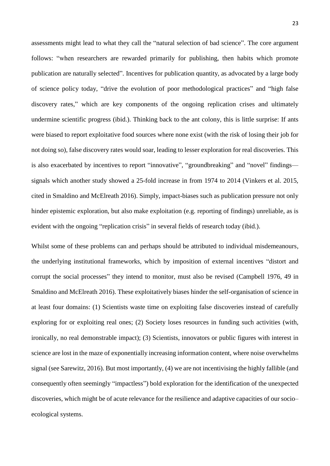assessments might lead to what they call the "natural selection of bad science". The core argument follows: "when researchers are rewarded primarily for publishing, then habits which promote publication are naturally selected". Incentives for publication quantity, as advocated by a large body of science policy today, "drive the evolution of poor methodological practices" and "high false discovery rates," which are key components of the ongoing replication crises and ultimately undermine scientific progress (ibid.). Thinking back to the ant colony, this is little surprise: If ants were biased to report exploitative food sources where none exist (with the risk of losing their job for not doing so), false discovery rates would soar, leading to lesser exploration for real discoveries. This is also exacerbated by incentives to report "innovative", "groundbreaking" and "novel" findings signals which another study showed a 25-fold increase in from 1974 to 2014 (Vinkers et al. 2015, cited in Smaldino and McElreath 2016). Simply, impact-biases such as publication pressure not only hinder epistemic exploration, but also make exploitation (e.g. reporting of findings) unreliable, as is evident with the ongoing "replication crisis" in several fields of research today (ibid.).

Whilst some of these problems can and perhaps should be attributed to individual misdemeanours, the underlying institutional frameworks, which by imposition of external incentives "distort and corrupt the social processes" they intend to monitor, must also be revised (Campbell 1976, 49 in Smaldino and McElreath 2016). These exploitatively biases hinder the self-organisation of science in at least four domains: (1) Scientists waste time on exploiting false discoveries instead of carefully exploring for or exploiting real ones; (2) Society loses resources in funding such activities (with, ironically, no real demonstrable impact); (3) Scientists, innovators or public figures with interest in science are lost in the maze of exponentially increasing information content, where noise overwhelms signal (see Sarewitz, 2016). But most importantly, (4) we are not incentivising the highly fallible (and consequently often seemingly "impactless") bold exploration for the identification of the unexpected discoveries, which might be of acute relevance for the resilience and adaptive capacities of our socio– ecological systems.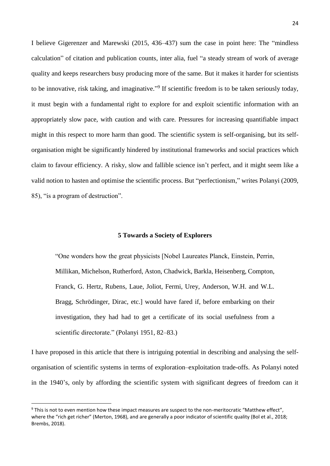I believe Gigerenzer and Marewski (2015, 436–437) sum the case in point here: The "mindless calculation" of citation and publication counts, inter alia, fuel "a steady stream of work of average quality and keeps researchers busy producing more of the same. But it makes it harder for scientists to be innovative, risk taking, and imaginative."<sup>9</sup> If scientific freedom is to be taken seriously today, it must begin with a fundamental right to explore for and exploit scientific information with an appropriately slow pace, with caution and with care. Pressures for increasing quantifiable impact might in this respect to more harm than good. The scientific system is self-organising, but its selforganisation might be significantly hindered by institutional frameworks and social practices which claim to favour efficiency. A risky, slow and fallible science isn't perfect, and it might seem like a valid notion to hasten and optimise the scientific process. But "perfectionism," writes Polanyi (2009, 85), "is a program of destruction".

## **5 Towards a Society of Explorers**

"One wonders how the great physicists [Nobel Laureates Planck, Einstein, Perrin, Millikan, Michelson, Rutherford, Aston, Chadwick, Barkla, Heisenberg, Compton, Franck, G. Hertz, Rubens, Laue, Joliot, Fermi, Urey, Anderson, W.H. and W.L. Bragg, Schrödinger, Dirac, etc.] would have fared if, before embarking on their investigation, they had had to get a certificate of its social usefulness from a scientific directorate." (Polanyi 1951, 82–83.)

I have proposed in this article that there is intriguing potential in describing and analysing the selforganisation of scientific systems in terms of exploration–exploitation trade-offs. As Polanyi noted in the 1940's, only by affording the scientific system with significant degrees of freedom can it

**.** 

<sup>&</sup>lt;sup>9</sup> This is not to even mention how these impact measures are suspect to the non-meritocratic "Matthew effect". where the "rich get richer" (Merton, 1968), and are generally a poor indicator of scientific quality (Bol et al., 2018; Brembs, 2018).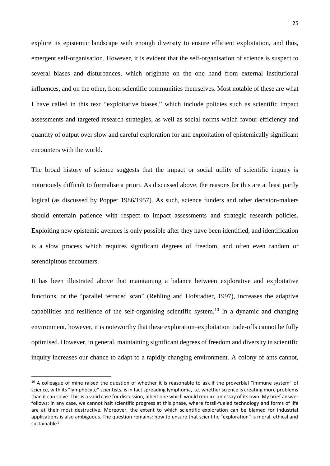explore its epistemic landscape with enough diversity to ensure efficient exploitation, and thus, emergent self-organisation. However, it is evident that the self-organisation of science is suspect to several biases and disturbances, which originate on the one hand from external institutional influences, and on the other, from scientific communities themselves. Most notable of these are what I have called in this text "exploitative biases," which include policies such as scientific impact assessments and targeted research strategies, as well as social norms which favour efficiency and quantity of output over slow and careful exploration for and exploitation of epistemically significant encounters with the world.

The broad history of science suggests that the impact or social utility of scientific inquiry is notoriously difficult to formalise a priori. As discussed above, the reasons for this are at least partly logical (as discussed by Popper 1986/1957). As such, science funders and other decision-makers should entertain patience with respect to impact assessments and strategic research policies. Exploiting new epistemic avenues is only possible after they have been identified, and identification is a slow process which requires significant degrees of freedom, and often even random or serendipitous encounters.

It has been illustrated above that maintaining a balance between explorative and exploitative functions, or the "parallel terraced scan" (Rehling and Hofstadter, 1997), increases the adaptive capabilities and resilience of the self-organising scientific system.<sup>10</sup> In a dynamic and changing environment, however, it is noteworthy that these exploration–exploitation trade-offs cannot be fully optimised. However, in general, maintaining significant degrees of freedom and diversity in scientific inquiry increases our chance to adapt to a rapidly changing environment. A colony of ants cannot,

1

 $10$  A colleague of mine raised the question of whether it is reasonable to ask if the proverbial "immune system" of science, with its "lymphocyte" scientists, is in fact spreading lymphoma, i.e. whether science is creating more problems than it can solve. This is a valid case for discussion, albeit one which would require an essay of its own. My brief answer follows: in any case, we cannot halt scientific progress at this phase, where fossil-fueled technology and forms of life are at their most destructive. Moreover, the extent to which scientific exploration can be blamed for industrial applications is also ambiguous. The question remains: how to ensure that scientific "exploration" is moral, ethical and sustainable?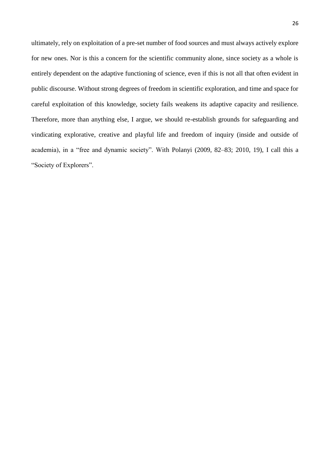ultimately, rely on exploitation of a pre-set number of food sources and must always actively explore for new ones. Nor is this a concern for the scientific community alone, since society as a whole is entirely dependent on the adaptive functioning of science, even if this is not all that often evident in public discourse. Without strong degrees of freedom in scientific exploration, and time and space for careful exploitation of this knowledge, society fails weakens its adaptive capacity and resilience. Therefore, more than anything else, I argue, we should re-establish grounds for safeguarding and vindicating explorative, creative and playful life and freedom of inquiry (inside and outside of academia), in a "free and dynamic society". With Polanyi (2009, 82–83; 2010, 19), I call this a "Society of Explorers".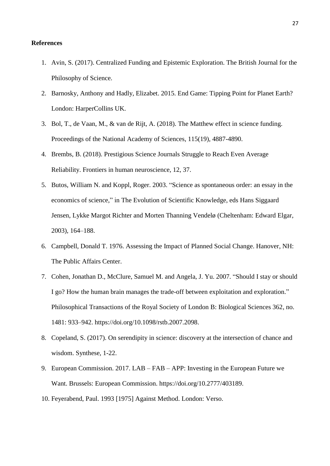## **References**

- 1. Avin, S. (2017). Centralized Funding and Epistemic Exploration. The British Journal for the Philosophy of Science.
- 2. Barnosky, Anthony and Hadly, Elizabet. 2015. End Game: Tipping Point for Planet Earth? London: HarperCollins UK.
- 3. Bol, T., de Vaan, M., & van de Rijt, A. (2018). The Matthew effect in science funding. Proceedings of the National Academy of Sciences, 115(19), 4887-4890.
- 4. Brembs, B. (2018). Prestigious Science Journals Struggle to Reach Even Average Reliability. Frontiers in human neuroscience, 12, 37.
- 5. Butos, William N. and Koppl, Roger. 2003. "Science as spontaneous order: an essay in the economics of science," in The Evolution of Scientific Knowledge, eds Hans Siggaard Jensen, Lykke Margot Richter and Morten Thanning Vendelø (Cheltenham: Edward Elgar, 2003), 164–188.
- 6. Campbell, Donald T. 1976. Assessing the Impact of Planned Social Change. Hanover, NH: The Public Affairs Center.
- 7. Cohen, Jonathan D., McClure, Samuel M. and Angela, J. Yu. 2007. "Should I stay or should I go? How the human brain manages the trade-off between exploitation and exploration." Philosophical Transactions of the Royal Society of London B: Biological Sciences 362, no. 1481: 933–942. https://doi.org/10.1098/rstb.2007.2098.
- 8. Copeland, S. (2017). On serendipity in science: discovery at the intersection of chance and wisdom. Synthese, 1-22.
- 9. European Commission. 2017. LAB FAB APP: Investing in the European Future we Want. Brussels: European Commission. https://doi.org/10.2777/403189.
- 10. Feyerabend, Paul. 1993 [1975] Against Method. London: Verso.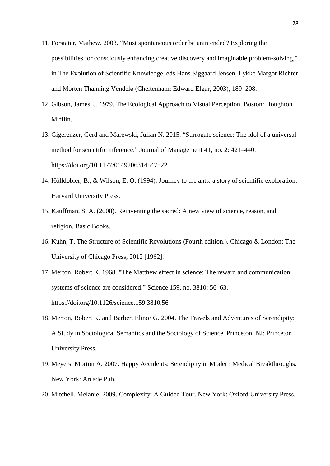- 11. Forstater, Mathew. 2003. "Must spontaneous order be unintended? Exploring the possibilities for consciously enhancing creative discovery and imaginable problem-solving," in The Evolution of Scientific Knowledge, eds Hans Siggaard Jensen, Lykke Margot Richter and Morten Thanning Vendelø (Cheltenham: Edward Elgar, 2003), 189–208.
- 12. Gibson, James. J. 1979. The Ecological Approach to Visual Perception. Boston: Houghton Mifflin.
- 13. Gigerenzer, Gerd and Marewski, Julian N. 2015. "Surrogate science: The idol of a universal method for scientific inference." Journal of Management 41, no. 2: 421–440. https://doi.org/10.1177/0149206314547522.
- 14. Hölldobler, B., & Wilson, E. O. (1994). Journey to the ants: a story of scientific exploration. Harvard University Press.
- 15. Kauffman, S. A. (2008). Reinventing the sacred: A new view of science, reason, and religion. Basic Books.
- 16. Kuhn, T. The Structure of Scientific Revolutions (Fourth edition.). Chicago & London: The University of Chicago Press, 2012 [1962].
- 17. Merton, Robert K. 1968. "The Matthew effect in science: The reward and communication systems of science are considered." Science 159, no. 3810: 56–63. https://doi.org/10.1126/science.159.3810.56
- 18. Merton, Robert K. and Barber, Elinor G. 2004. The Travels and Adventures of Serendipity: A Study in Sociological Semantics and the Sociology of Science. Princeton, NJ: Princeton University Press.
- 19. Meyers, Morton A. 2007. Happy Accidents: Serendipity in Modern Medical Breakthroughs. New York: Arcade Pub.
- 20. Mitchell, Melanie. 2009. Complexity: A Guided Tour. New York: Oxford University Press.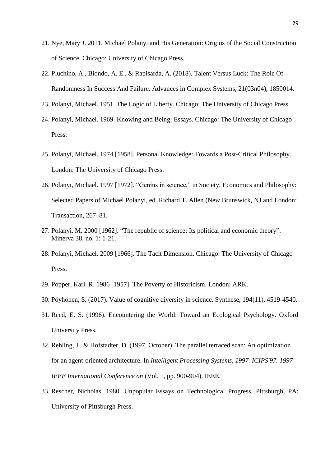- 21. Nye, Mary J. 2011. Michael Polanyi and His Generation: Origins of the Social Construction of Science. Chicago: University of Chicago Press.
- 22. Pluchino, A., Biondo, A. E., & Rapisarda, A. (2018). Talent Versus Luck: The Role Of Randomness In Success And Failure. Advances in Complex Systems, 21(03n04), 1850014.
- 23. Polanyi, Michael. 1951. The Logic of Liberty. Chicago: The University of Chicago Press.
- 24. Polanyi, Michael. 1969. Knowing and Being: Essays. Chicago: The University of Chicago Press.
- 25. Polanyi, Michael. 1974 [1958]. Personal Knowledge: Towards a Post-Critical Philosophy. London: The University of Chicago Press.
- 26. Polanyi, Michael. 1997 [1972]. "Genius in science," in Society, Economics and Philosophy: Selected Papers of Michael Polanyi, ed. Richard T. Allen (New Brunswick, NJ and London: Transaction, 267–81.
- 27. Polanyi, M. 2000 [1962]. "The republic of science: Its political and economic theory". Minerva 38, no. 1: 1-21.
- 28. Polanyi, Michael. 2009 [1966]. The Tacit Dimension. Chicago: The University of Chicago Press.
- 29. Popper, Karl. R. 1986 [1957]. The Poverty of Historicism. London: ARK.
- 30. Pöyhönen, S. (2017). Value of cognitive diversity in science. Synthese, 194(11), 4519-4540.
- 31. Reed, E. S. (1996). Encountering the World: Toward an Ecological Psychology. Oxford University Press.
- 32. Rehling, J., & Hofstadter, D. (1997, October). The parallel terraced scan: An optimization for an agent-oriented architecture. In *Intelligent Processing Systems, 1997. ICIPS'97. 1997 IEEE International Conference on* (Vol. 1, pp. 900-904). IEEE.
- 33. Rescher, Nicholas. 1980. Unpopular Essays on Technological Progress. Pittsburgh, PA: University of Pittsburgh Press.